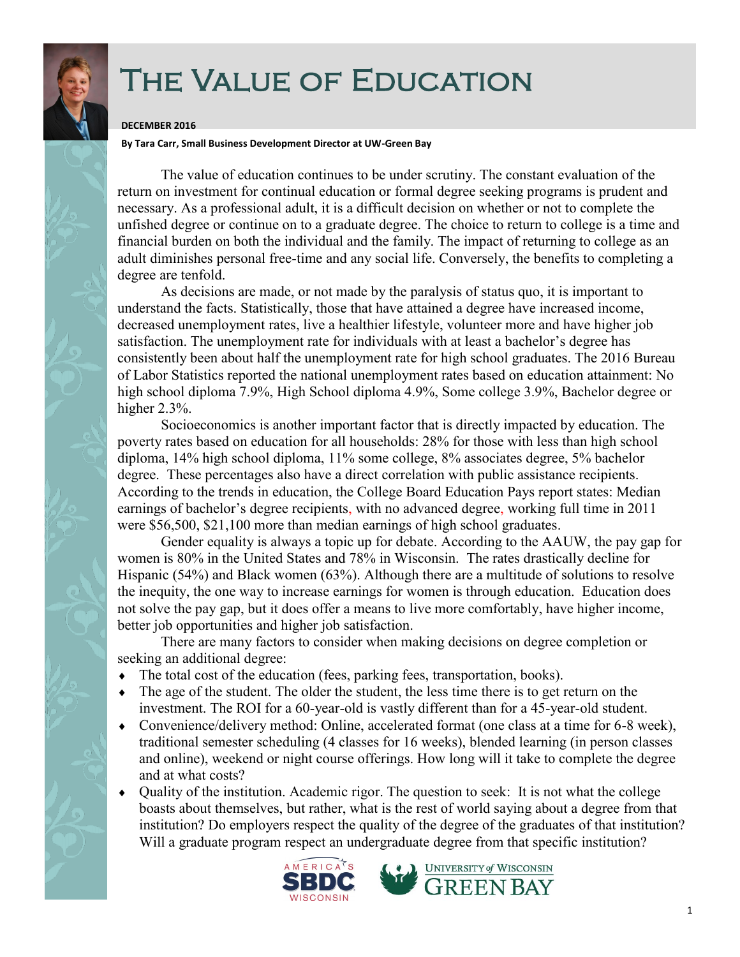## THE VALUE OF EDUCATION

## **DECEMBER 2016**

**By Tara Carr, Small Business Development Director at UW-Green Bay**

The value of education continues to be under scrutiny. The constant evaluation of the return on investment for continual education or formal degree seeking programs is prudent and necessary. As a professional adult, it is a difficult decision on whether or not to complete the unfished degree or continue on to a graduate degree. The choice to return to college is a time and financial burden on both the individual and the family. The impact of returning to college as an adult diminishes personal free-time and any social life. Conversely, the benefits to completing a degree are tenfold.

As decisions are made, or not made by the paralysis of status quo, it is important to understand the facts. Statistically, those that have attained a degree have increased income, decreased unemployment rates, live a healthier lifestyle, volunteer more and have higher job satisfaction. The unemployment rate for individuals with at least a bachelor's degree has consistently been about half the unemployment rate for high school graduates. The 2016 Bureau of Labor Statistics reported the national unemployment rates based on education attainment: No high school diploma 7.9%, High School diploma 4.9%, Some college 3.9%, Bachelor degree or higher 2.3%.

Socioeconomics is another important factor that is directly impacted by education. The poverty rates based on education for all households: 28% for those with less than high school diploma, 14% high school diploma, 11% some college, 8% associates degree, 5% bachelor degree. These percentages also have a direct correlation with public assistance recipients. According to the trends in education, the College Board Education Pays report states: Median earnings of bachelor's degree recipients, with no advanced degree, working full time in 2011 were \$56,500, \$21,100 more than median earnings of high school graduates.

Gender equality is always a topic up for debate. According to the AAUW, the pay gap for women is 80% in the United States and 78% in Wisconsin. The rates drastically decline for Hispanic (54%) and Black women (63%). Although there are a multitude of solutions to resolve the inequity, the one way to increase earnings for women is through education. Education does not solve the pay gap, but it does offer a means to live more comfortably, have higher income, better job opportunities and higher job satisfaction.

There are many factors to consider when making decisions on degree completion or seeking an additional degree:

- The total cost of the education (fees, parking fees, transportation, books).
- The age of the student. The older the student, the less time there is to get return on the investment. The ROI for a 60-year-old is vastly different than for a 45-year-old student.
- Convenience/delivery method: Online, accelerated format (one class at a time for 6-8 week), traditional semester scheduling (4 classes for 16 weeks), blended learning (in person classes and online), weekend or night course offerings. How long will it take to complete the degree and at what costs?
- Quality of the institution. Academic rigor. The question to seek: It is not what the college boasts about themselves, but rather, what is the rest of world saying about a degree from that institution? Do employers respect the quality of the degree of the graduates of that institution? Will a graduate program respect an undergraduate degree from that specific institution?